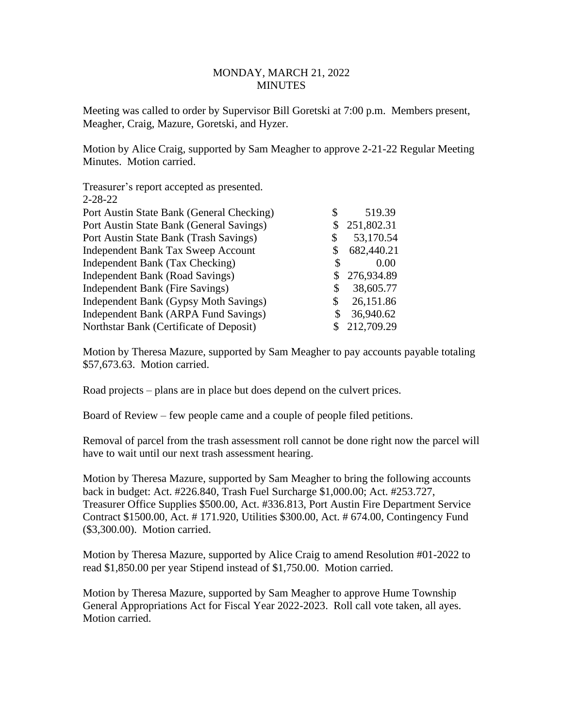## MONDAY, MARCH 21, 2022 **MINUTES**

Meeting was called to order by Supervisor Bill Goretski at 7:00 p.m. Members present, Meagher, Craig, Mazure, Goretski, and Hyzer.

Motion by Alice Craig, supported by Sam Meagher to approve 2-21-22 Regular Meeting Minutes. Motion carried.

| Treasurer's report accepted as presented. |                  |
|-------------------------------------------|------------------|
| $2 - 28 - 22$                             |                  |
| Port Austin State Bank (General Checking) | 519.39           |
| Port Austin State Bank (General Savings)  | \$<br>251,802.31 |
| Port Austin State Bank (Trash Savings)    | \$<br>53,170.54  |
| <b>Independent Bank Tax Sweep Account</b> | 682,440.21       |
| Independent Bank (Tax Checking)           | 0.00             |
| Independent Bank (Road Savings)           | \$<br>276,934.89 |
| Independent Bank (Fire Savings)           | \$<br>38,605.77  |
| Independent Bank (Gypsy Moth Savings)     | \$<br>26,151.86  |
| Independent Bank (ARPA Fund Savings)      | \$<br>36,940.62  |
| Northstar Bank (Certificate of Deposit)   | 212,709.29       |

Motion by Theresa Mazure, supported by Sam Meagher to pay accounts payable totaling \$57,673.63. Motion carried.

Road projects – plans are in place but does depend on the culvert prices.

Board of Review – few people came and a couple of people filed petitions.

Removal of parcel from the trash assessment roll cannot be done right now the parcel will have to wait until our next trash assessment hearing.

Motion by Theresa Mazure, supported by Sam Meagher to bring the following accounts back in budget: Act. #226.840, Trash Fuel Surcharge \$1,000.00; Act. #253.727, Treasurer Office Supplies \$500.00, Act. #336.813, Port Austin Fire Department Service Contract \$1500.00, Act. # 171.920, Utilities \$300.00, Act. # 674.00, Contingency Fund (\$3,300.00). Motion carried.

Motion by Theresa Mazure, supported by Alice Craig to amend Resolution #01-2022 to read \$1,850.00 per year Stipend instead of \$1,750.00. Motion carried.

Motion by Theresa Mazure, supported by Sam Meagher to approve Hume Township General Appropriations Act for Fiscal Year 2022-2023. Roll call vote taken, all ayes. Motion carried.